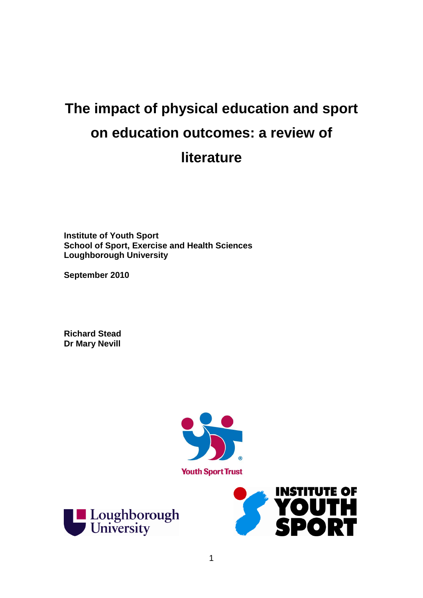# **The impact of physical education and sport on education outcomes: a review of literature**

**Institute of Youth Sport School of Sport, Exercise and Health Sciences Loughborough University**

**September 2010**

**Richard Stead Dr Mary Nevill**





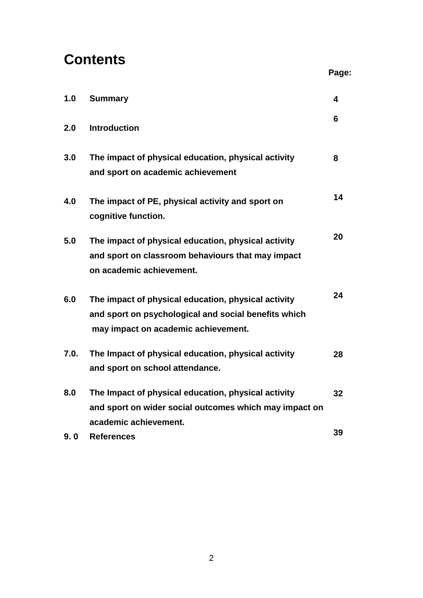# **Contents**

| ٠<br>÷<br>۰, | ۰, |  |
|--------------|----|--|
|              |    |  |

| 1.0  | <b>Summary</b>                                                                                                                                     | 4  |
|------|----------------------------------------------------------------------------------------------------------------------------------------------------|----|
| 2.0  | <b>Introduction</b>                                                                                                                                | 6  |
| 3.0  | The impact of physical education, physical activity<br>and sport on academic achievement                                                           | 8  |
| 4.0  | The impact of PE, physical activity and sport on<br>cognitive function.                                                                            | 14 |
| 5.0  | The impact of physical education, physical activity<br>and sport on classroom behaviours that may impact<br>on academic achievement.               | 20 |
| 6.0  | The impact of physical education, physical activity<br>and sport on psychological and social benefits which<br>may impact on academic achievement. | 24 |
| 7.0. | The Impact of physical education, physical activity<br>and sport on school attendance.                                                             | 28 |
| 8.0  | The Impact of physical education, physical activity<br>and sport on wider social outcomes which may impact on<br>academic achievement.             | 32 |
| 9.0  | <b>References</b>                                                                                                                                  | 39 |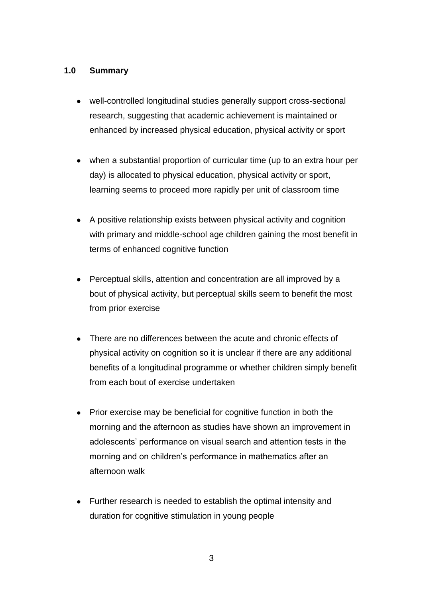# **1.0 Summary**

- well-controlled longitudinal studies generally support cross-sectional research, suggesting that academic achievement is maintained or enhanced by increased physical education, physical activity or sport
- when a substantial proportion of curricular time (up to an extra hour per day) is allocated to physical education, physical activity or sport, learning seems to proceed more rapidly per unit of classroom time
- A positive relationship exists between physical activity and cognition  $\bullet$ with primary and middle-school age children gaining the most benefit in terms of enhanced cognitive function
- Perceptual skills, attention and concentration are all improved by a bout of physical activity, but perceptual skills seem to benefit the most from prior exercise
- There are no differences between the acute and chronic effects of physical activity on cognition so it is unclear if there are any additional benefits of a longitudinal programme or whether children simply benefit from each bout of exercise undertaken
- Prior exercise may be beneficial for cognitive function in both the morning and the afternoon as studies have shown an improvement in adolescents' performance on visual search and attention tests in the morning and on children"s performance in mathematics after an afternoon walk
- Further research is needed to establish the optimal intensity and duration for cognitive stimulation in young people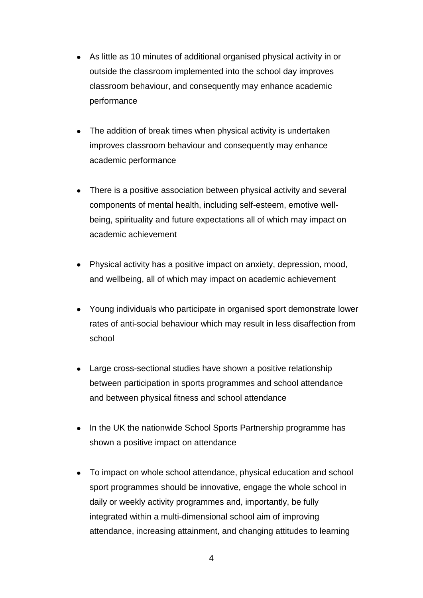- As little as 10 minutes of additional organised physical activity in or outside the classroom implemented into the school day improves classroom behaviour, and consequently may enhance academic performance
- The addition of break times when physical activity is undertaken improves classroom behaviour and consequently may enhance academic performance
- There is a positive association between physical activity and several components of mental health, including self-esteem, emotive wellbeing, spirituality and future expectations all of which may impact on academic achievement
- Physical activity has a positive impact on anxiety, depression, mood, and wellbeing, all of which may impact on academic achievement
- Young individuals who participate in organised sport demonstrate lower rates of anti-social behaviour which may result in less disaffection from school
- Large cross-sectional studies have shown a positive relationship between participation in sports programmes and school attendance and between physical fitness and school attendance
- In the UK the nationwide School Sports Partnership programme has  $\bullet$ shown a positive impact on attendance
- To impact on whole school attendance, physical education and school sport programmes should be innovative, engage the whole school in daily or weekly activity programmes and, importantly, be fully integrated within a multi-dimensional school aim of improving attendance, increasing attainment, and changing attitudes to learning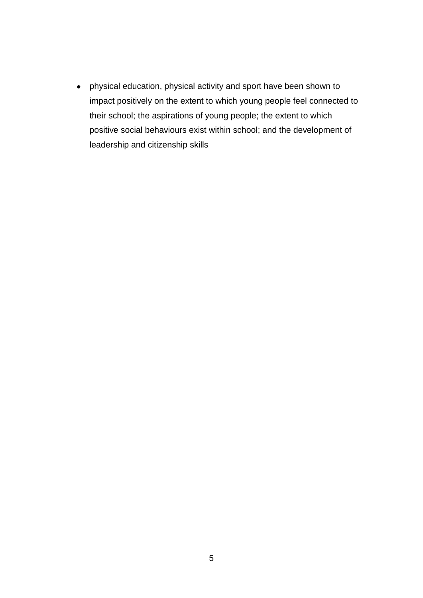physical education, physical activity and sport have been shown to impact positively on the extent to which young people feel connected to their school; the aspirations of young people; the extent to which positive social behaviours exist within school; and the development of leadership and citizenship skills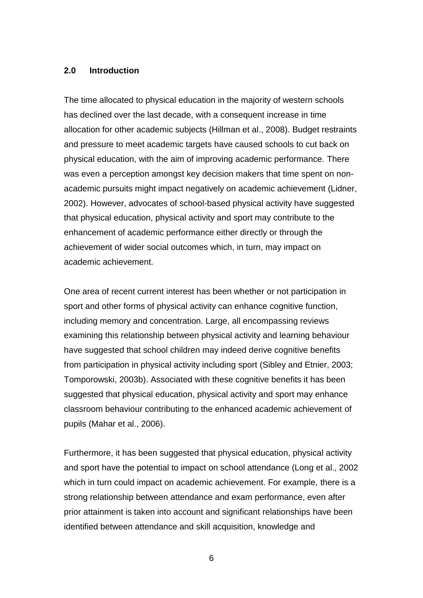#### **2.0 Introduction**

The time allocated to physical education in the majority of western schools has declined over the last decade, with a consequent increase in time allocation for other academic subjects (Hillman et al., 2008). Budget restraints and pressure to meet academic targets have caused schools to cut back on physical education, with the aim of improving academic performance. There was even a perception amongst key decision makers that time spent on nonacademic pursuits might impact negatively on academic achievement (Lidner, 2002). However, advocates of school-based physical activity have suggested that physical education, physical activity and sport may contribute to the enhancement of academic performance either directly or through the achievement of wider social outcomes which, in turn, may impact on academic achievement.

One area of recent current interest has been whether or not participation in sport and other forms of physical activity can enhance cognitive function, including memory and concentration. Large, all encompassing reviews examining this relationship between physical activity and learning behaviour have suggested that school children may indeed derive cognitive benefits from participation in physical activity including sport (Sibley and Etnier, 2003; Tomporowski, 2003b). Associated with these cognitive benefits it has been suggested that physical education, physical activity and sport may enhance classroom behaviour contributing to the enhanced academic achievement of pupils (Mahar et al., 2006).

Furthermore, it has been suggested that physical education, physical activity and sport have the potential to impact on school attendance (Long et al., 2002 which in turn could impact on academic achievement. For example, there is a strong relationship between attendance and exam performance, even after prior attainment is taken into account and significant relationships have been identified between attendance and skill acquisition, knowledge and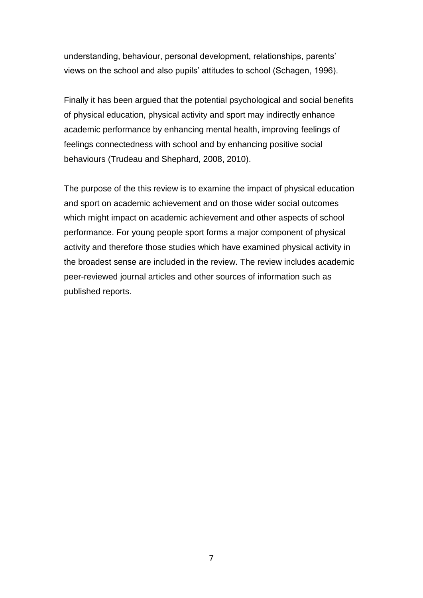understanding, behaviour, personal development, relationships, parents" views on the school and also pupils" attitudes to school (Schagen, 1996).

Finally it has been argued that the potential psychological and social benefits of physical education, physical activity and sport may indirectly enhance academic performance by enhancing mental health, improving feelings of feelings connectedness with school and by enhancing positive social behaviours (Trudeau and Shephard, 2008, 2010).

The purpose of the this review is to examine the impact of physical education and sport on academic achievement and on those wider social outcomes which might impact on academic achievement and other aspects of school performance. For young people sport forms a major component of physical activity and therefore those studies which have examined physical activity in the broadest sense are included in the review. The review includes academic peer-reviewed journal articles and other sources of information such as published reports.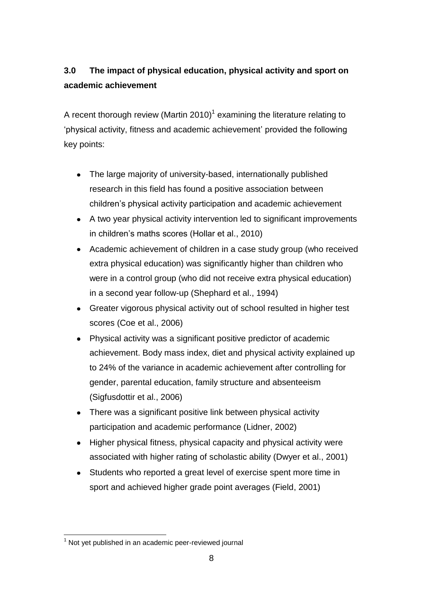# **3.0 The impact of physical education, physical activity and sport on academic achievement**

A recent thorough review (Martin 2010)<sup>1</sup> examining the literature relating to "physical activity, fitness and academic achievement" provided the following key points:

- The large majority of university-based, internationally published research in this field has found a positive association between children"s physical activity participation and academic achievement
- A two year physical activity intervention led to significant improvements in children"s maths scores (Hollar et al., 2010)
- Academic achievement of children in a case study group (who received extra physical education) was significantly higher than children who were in a control group (who did not receive extra physical education) in a second year follow-up (Shephard et al., 1994)
- Greater vigorous physical activity out of school resulted in higher test scores (Coe et al., 2006)
- Physical activity was a significant positive predictor of academic achievement. Body mass index, diet and physical activity explained up to 24% of the variance in academic achievement after controlling for gender, parental education, family structure and absenteeism (Sigfusdottir et al., 2006)
- There was a significant positive link between physical activity participation and academic performance (Lidner, 2002)
- $\bullet$ Higher physical fitness, physical capacity and physical activity were associated with higher rating of scholastic ability (Dwyer et al., 2001)
- Students who reported a great level of exercise spent more time in sport and achieved higher grade point averages (Field, 2001)

<sup>1</sup>  $1$  Not yet published in an academic peer-reviewed journal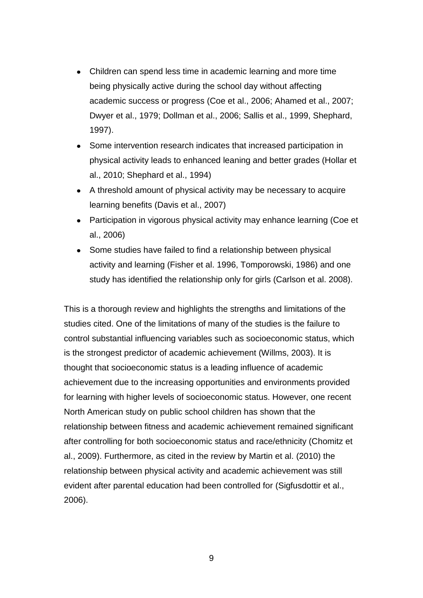- Children can spend less time in academic learning and more time being physically active during the school day without affecting academic success or progress (Coe et al., 2006; Ahamed et al., 2007; Dwyer et al., 1979; Dollman et al., 2006; Sallis et al., 1999, Shephard, 1997).
- Some intervention research indicates that increased participation in  $\bullet$ physical activity leads to enhanced leaning and better grades (Hollar et al., 2010; Shephard et al., 1994)
- A threshold amount of physical activity may be necessary to acquire learning benefits (Davis et al., 2007)
- Participation in vigorous physical activity may enhance learning (Coe et al., 2006)
- Some studies have failed to find a relationship between physical  $\bullet$ activity and learning (Fisher et al. 1996, Tomporowski, 1986) and one study has identified the relationship only for girls (Carlson et al. 2008).

This is a thorough review and highlights the strengths and limitations of the studies cited. One of the limitations of many of the studies is the failure to control substantial influencing variables such as socioeconomic status, which is the strongest predictor of academic achievement (Willms, 2003). It is thought that socioeconomic status is a leading influence of academic achievement due to the increasing opportunities and environments provided for learning with higher levels of socioeconomic status. However, one recent North American study on public school children has shown that the relationship between fitness and academic achievement remained significant after controlling for both socioeconomic status and race/ethnicity (Chomitz et al., 2009). Furthermore, as cited in the review by Martin et al. (2010) the relationship between physical activity and academic achievement was still evident after parental education had been controlled for (Sigfusdottir et al., 2006).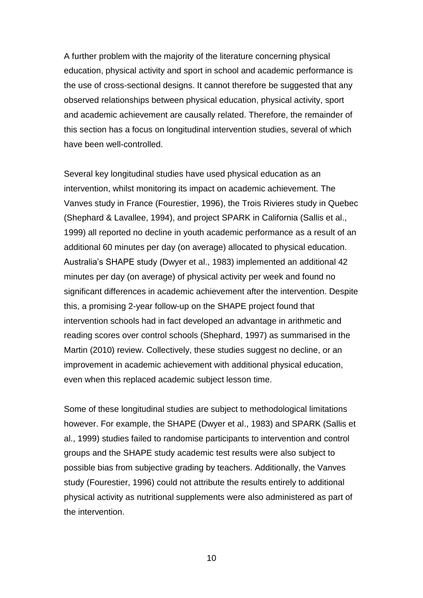A further problem with the majority of the literature concerning physical education, physical activity and sport in school and academic performance is the use of cross-sectional designs. It cannot therefore be suggested that any observed relationships between physical education, physical activity, sport and academic achievement are causally related. Therefore, the remainder of this section has a focus on longitudinal intervention studies, several of which have been well-controlled.

Several key longitudinal studies have used physical education as an intervention, whilst monitoring its impact on academic achievement. The Vanves study in France (Fourestier, 1996), the Trois Rivieres study in Quebec (Shephard & Lavallee, 1994), and project SPARK in California (Sallis et al., 1999) all reported no decline in youth academic performance as a result of an additional 60 minutes per day (on average) allocated to physical education. Australia"s SHAPE study (Dwyer et al., 1983) implemented an additional 42 minutes per day (on average) of physical activity per week and found no significant differences in academic achievement after the intervention. Despite this, a promising 2-year follow-up on the SHAPE project found that intervention schools had in fact developed an advantage in arithmetic and reading scores over control schools (Shephard, 1997) as summarised in the Martin (2010) review. Collectively, these studies suggest no decline, or an improvement in academic achievement with additional physical education, even when this replaced academic subject lesson time.

Some of these longitudinal studies are subject to methodological limitations however. For example, the SHAPE (Dwyer et al., 1983) and SPARK (Sallis et al., 1999) studies failed to randomise participants to intervention and control groups and the SHAPE study academic test results were also subject to possible bias from subjective grading by teachers. Additionally, the Vanves study (Fourestier, 1996) could not attribute the results entirely to additional physical activity as nutritional supplements were also administered as part of the intervention.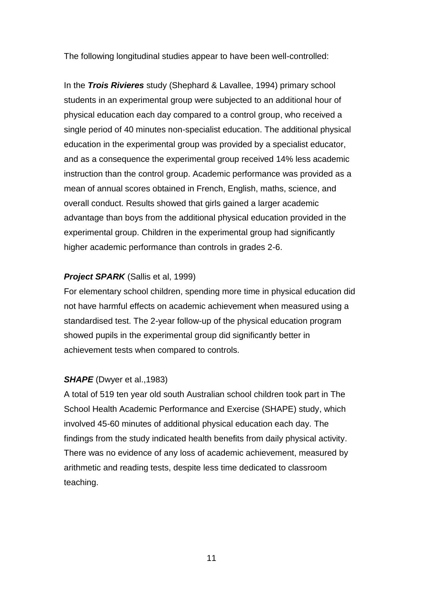The following longitudinal studies appear to have been well-controlled:

In the *Trois Rivieres* study (Shephard & Lavallee, 1994) primary school students in an experimental group were subjected to an additional hour of physical education each day compared to a control group, who received a single period of 40 minutes non-specialist education. The additional physical education in the experimental group was provided by a specialist educator, and as a consequence the experimental group received 14% less academic instruction than the control group. Academic performance was provided as a mean of annual scores obtained in French, English, maths, science, and overall conduct. Results showed that girls gained a larger academic advantage than boys from the additional physical education provided in the experimental group. Children in the experimental group had significantly higher academic performance than controls in grades 2-6.

# *Project SPARK* (Sallis et al, 1999)

For elementary school children, spending more time in physical education did not have harmful effects on academic achievement when measured using a standardised test. The 2-year follow-up of the physical education program showed pupils in the experimental group did significantly better in achievement tests when compared to controls.

# *SHAPE* (Dwyer et al., 1983)

A total of 519 ten year old south Australian school children took part in The School Health Academic Performance and Exercise (SHAPE) study, which involved 45-60 minutes of additional physical education each day. The findings from the study indicated health benefits from daily physical activity. There was no evidence of any loss of academic achievement, measured by arithmetic and reading tests, despite less time dedicated to classroom teaching.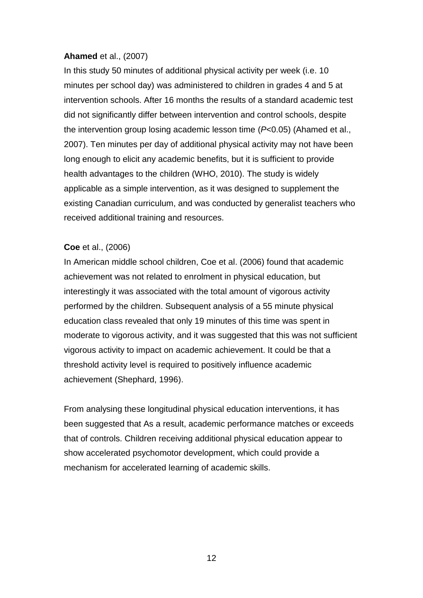## **Ahamed** et al., (2007)

In this study 50 minutes of additional physical activity per week (i.e. 10 minutes per school day) was administered to children in grades 4 and 5 at intervention schools. After 16 months the results of a standard academic test did not significantly differ between intervention and control schools, despite the intervention group losing academic lesson time (*P*<0.05) (Ahamed et al., 2007). Ten minutes per day of additional physical activity may not have been long enough to elicit any academic benefits, but it is sufficient to provide health advantages to the children (WHO, 2010). The study is widely applicable as a simple intervention, as it was designed to supplement the existing Canadian curriculum, and was conducted by generalist teachers who received additional training and resources.

# **Coe** et al., (2006)

In American middle school children, Coe et al. (2006) found that academic achievement was not related to enrolment in physical education, but interestingly it was associated with the total amount of vigorous activity performed by the children. Subsequent analysis of a 55 minute physical education class revealed that only 19 minutes of this time was spent in moderate to vigorous activity, and it was suggested that this was not sufficient vigorous activity to impact on academic achievement. It could be that a threshold activity level is required to positively influence academic achievement (Shephard, 1996).

From analysing these longitudinal physical education interventions, it has been suggested that As a result, academic performance matches or exceeds that of controls. Children receiving additional physical education appear to show accelerated psychomotor development, which could provide a mechanism for accelerated learning of academic skills.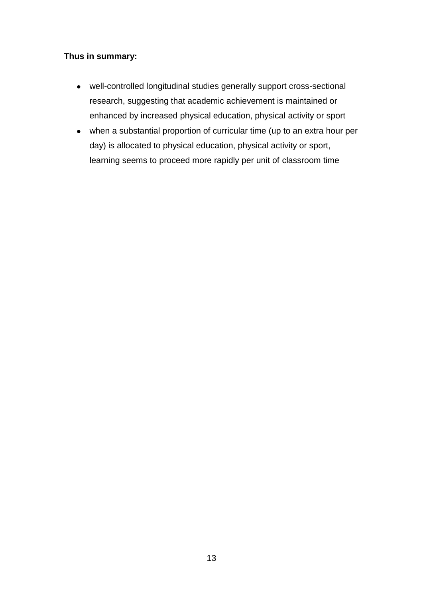# **Thus in summary:**

- well-controlled longitudinal studies generally support cross-sectional research, suggesting that academic achievement is maintained or enhanced by increased physical education, physical activity or sport
- when a substantial proportion of curricular time (up to an extra hour per day) is allocated to physical education, physical activity or sport, learning seems to proceed more rapidly per unit of classroom time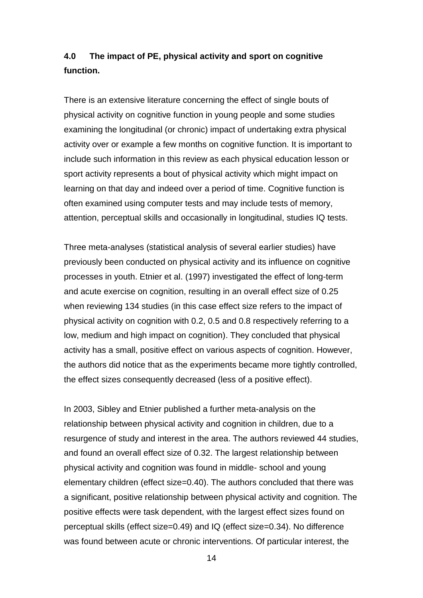# **4.0 The impact of PE, physical activity and sport on cognitive function.**

There is an extensive literature concerning the effect of single bouts of physical activity on cognitive function in young people and some studies examining the longitudinal (or chronic) impact of undertaking extra physical activity over or example a few months on cognitive function. It is important to include such information in this review as each physical education lesson or sport activity represents a bout of physical activity which might impact on learning on that day and indeed over a period of time. Cognitive function is often examined using computer tests and may include tests of memory, attention, perceptual skills and occasionally in longitudinal, studies IQ tests.

Three meta-analyses (statistical analysis of several earlier studies) have previously been conducted on physical activity and its influence on cognitive processes in youth. Etnier et al. (1997) investigated the effect of long-term and acute exercise on cognition, resulting in an overall effect size of 0.25 when reviewing 134 studies (in this case effect size refers to the impact of physical activity on cognition with 0.2, 0.5 and 0.8 respectively referring to a low, medium and high impact on cognition). They concluded that physical activity has a small, positive effect on various aspects of cognition. However, the authors did notice that as the experiments became more tightly controlled, the effect sizes consequently decreased (less of a positive effect).

In 2003, Sibley and Etnier published a further meta-analysis on the relationship between physical activity and cognition in children, due to a resurgence of study and interest in the area. The authors reviewed 44 studies, and found an overall effect size of 0.32. The largest relationship between physical activity and cognition was found in middle- school and young elementary children (effect size=0.40). The authors concluded that there was a significant, positive relationship between physical activity and cognition. The positive effects were task dependent, with the largest effect sizes found on perceptual skills (effect size=0.49) and IQ (effect size=0.34). No difference was found between acute or chronic interventions. Of particular interest, the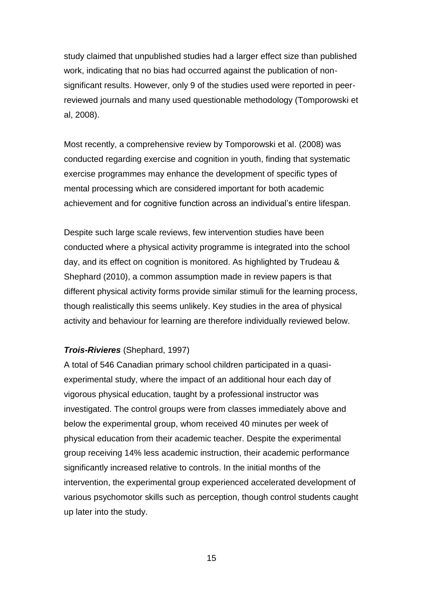study claimed that unpublished studies had a larger effect size than published work, indicating that no bias had occurred against the publication of nonsignificant results. However, only 9 of the studies used were reported in peerreviewed journals and many used questionable methodology (Tomporowski et al, 2008).

Most recently, a comprehensive review by Tomporowski et al. (2008) was conducted regarding exercise and cognition in youth, finding that systematic exercise programmes may enhance the development of specific types of mental processing which are considered important for both academic achievement and for cognitive function across an individual"s entire lifespan.

Despite such large scale reviews, few intervention studies have been conducted where a physical activity programme is integrated into the school day, and its effect on cognition is monitored. As highlighted by Trudeau & Shephard (2010), a common assumption made in review papers is that different physical activity forms provide similar stimuli for the learning process, though realistically this seems unlikely. Key studies in the area of physical activity and behaviour for learning are therefore individually reviewed below.

### *Trois-Rivieres* (Shephard, 1997)

A total of 546 Canadian primary school children participated in a quasiexperimental study, where the impact of an additional hour each day of vigorous physical education, taught by a professional instructor was investigated. The control groups were from classes immediately above and below the experimental group, whom received 40 minutes per week of physical education from their academic teacher. Despite the experimental group receiving 14% less academic instruction, their academic performance significantly increased relative to controls. In the initial months of the intervention, the experimental group experienced accelerated development of various psychomotor skills such as perception, though control students caught up later into the study.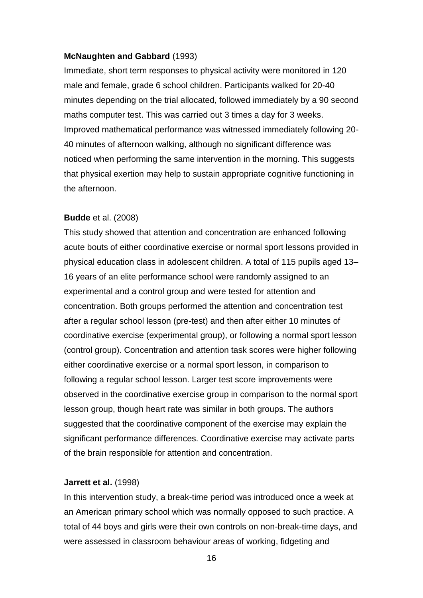#### **McNaughten and Gabbard** (1993)

Immediate, short term responses to physical activity were monitored in 120 male and female, grade 6 school children. Participants walked for 20-40 minutes depending on the trial allocated, followed immediately by a 90 second maths computer test. This was carried out 3 times a day for 3 weeks. Improved mathematical performance was witnessed immediately following 20- 40 minutes of afternoon walking, although no significant difference was noticed when performing the same intervention in the morning. This suggests that physical exertion may help to sustain appropriate cognitive functioning in the afternoon.

#### **Budde** et al. (2008)

This study showed that attention and concentration are enhanced following acute bouts of either coordinative exercise or normal sport lessons provided in physical education class in adolescent children. A total of 115 pupils aged 13– 16 years of an elite performance school were randomly assigned to an experimental and a control group and were tested for attention and concentration. Both groups performed the attention and concentration test after a regular school lesson (pre-test) and then after either 10 minutes of coordinative exercise (experimental group), or following a normal sport lesson (control group). Concentration and attention task scores were higher following either coordinative exercise or a normal sport lesson, in comparison to following a regular school lesson. Larger test score improvements were observed in the coordinative exercise group in comparison to the normal sport lesson group, though heart rate was similar in both groups. The authors suggested that the coordinative component of the exercise may explain the significant performance differences. Coordinative exercise may activate parts of the brain responsible for attention and concentration.

#### **Jarrett et al.** (1998)

In this intervention study, a break-time period was introduced once a week at an American primary school which was normally opposed to such practice. A total of 44 boys and girls were their own controls on non-break-time days, and were assessed in classroom behaviour areas of working, fidgeting and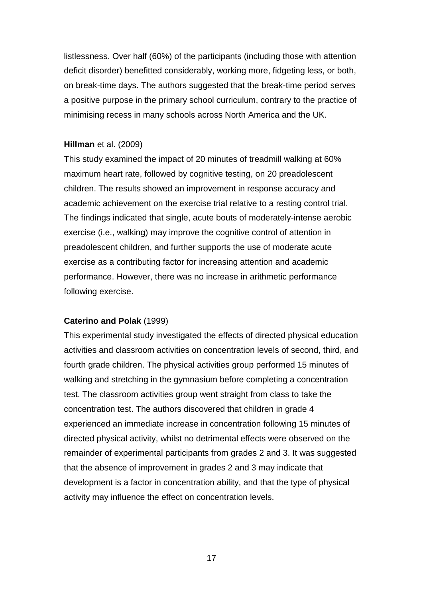listlessness. Over half (60%) of the participants (including those with attention deficit disorder) benefitted considerably, working more, fidgeting less, or both, on break-time days. The authors suggested that the break-time period serves a positive purpose in the primary school curriculum, contrary to the practice of minimising recess in many schools across North America and the UK.

#### **Hillman** et al. (2009)

This study examined the impact of 20 minutes of treadmill walking at 60% maximum heart rate, followed by cognitive testing, on 20 preadolescent children. The results showed an improvement in response accuracy and academic achievement on the exercise trial relative to a resting control trial. The findings indicated that single, acute bouts of moderately-intense aerobic exercise (i.e., walking) may improve the cognitive control of attention in preadolescent children, and further supports the use of moderate acute exercise as a contributing factor for increasing attention and academic performance. However, there was no increase in arithmetic performance following exercise.

#### **Caterino and Polak** (1999)

This experimental study investigated the effects of directed physical education activities and classroom activities on concentration levels of second, third, and fourth grade children. The physical activities group performed 15 minutes of walking and stretching in the gymnasium before completing a concentration test. The classroom activities group went straight from class to take the concentration test. The authors discovered that children in grade 4 experienced an immediate increase in concentration following 15 minutes of directed physical activity, whilst no detrimental effects were observed on the remainder of experimental participants from grades 2 and 3. It was suggested that the absence of improvement in grades 2 and 3 may indicate that development is a factor in concentration ability, and that the type of physical activity may influence the effect on concentration levels.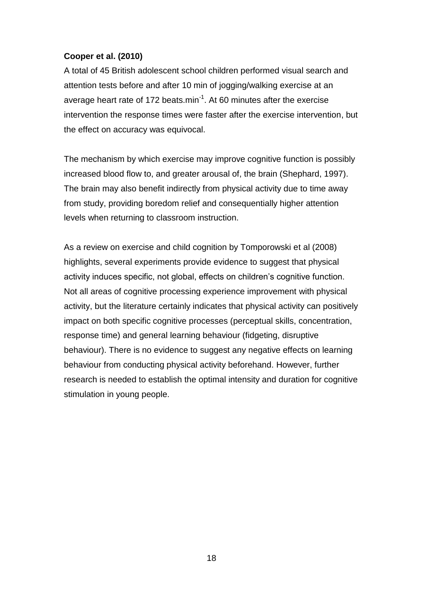# **Cooper et al. (2010)**

A total of 45 British adolescent school children performed visual search and attention tests before and after 10 min of jogging/walking exercise at an average heart rate of 172 beats.min<sup>-1</sup>. At 60 minutes after the exercise intervention the response times were faster after the exercise intervention, but the effect on accuracy was equivocal.

The mechanism by which exercise may improve cognitive function is possibly increased blood flow to, and greater arousal of, the brain (Shephard, 1997). The brain may also benefit indirectly from physical activity due to time away from study, providing boredom relief and consequentially higher attention levels when returning to classroom instruction.

As a review on exercise and child cognition by Tomporowski et al (2008) highlights, several experiments provide evidence to suggest that physical activity induces specific, not global, effects on children's cognitive function. Not all areas of cognitive processing experience improvement with physical activity, but the literature certainly indicates that physical activity can positively impact on both specific cognitive processes (perceptual skills, concentration, response time) and general learning behaviour (fidgeting, disruptive behaviour). There is no evidence to suggest any negative effects on learning behaviour from conducting physical activity beforehand. However, further research is needed to establish the optimal intensity and duration for cognitive stimulation in young people.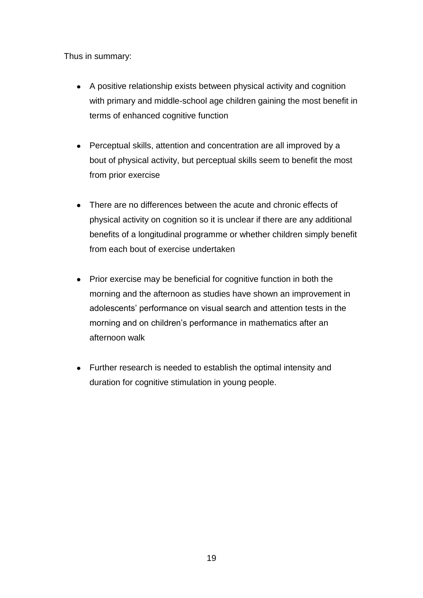Thus in summary:

- A positive relationship exists between physical activity and cognition with primary and middle-school age children gaining the most benefit in terms of enhanced cognitive function
- Perceptual skills, attention and concentration are all improved by a bout of physical activity, but perceptual skills seem to benefit the most from prior exercise
- There are no differences between the acute and chronic effects of physical activity on cognition so it is unclear if there are any additional benefits of a longitudinal programme or whether children simply benefit from each bout of exercise undertaken
- Prior exercise may be beneficial for cognitive function in both the morning and the afternoon as studies have shown an improvement in adolescents" performance on visual search and attention tests in the morning and on children"s performance in mathematics after an afternoon walk
- Further research is needed to establish the optimal intensity and duration for cognitive stimulation in young people.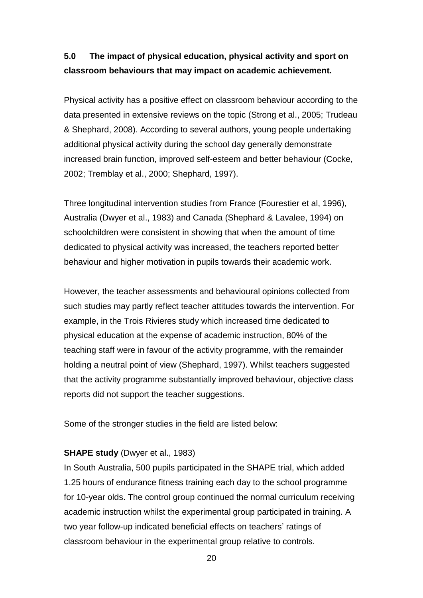# **5.0 The impact of physical education, physical activity and sport on classroom behaviours that may impact on academic achievement.**

Physical activity has a positive effect on classroom behaviour according to the data presented in extensive reviews on the topic (Strong et al., 2005; Trudeau & Shephard, 2008). According to several authors, young people undertaking additional physical activity during the school day generally demonstrate increased brain function, improved self-esteem and better behaviour (Cocke, 2002; Tremblay et al., 2000; Shephard, 1997).

Three longitudinal intervention studies from France (Fourestier et al, 1996), Australia (Dwyer et al., 1983) and Canada (Shephard & Lavalee, 1994) on schoolchildren were consistent in showing that when the amount of time dedicated to physical activity was increased, the teachers reported better behaviour and higher motivation in pupils towards their academic work.

However, the teacher assessments and behavioural opinions collected from such studies may partly reflect teacher attitudes towards the intervention. For example, in the Trois Rivieres study which increased time dedicated to physical education at the expense of academic instruction, 80% of the teaching staff were in favour of the activity programme, with the remainder holding a neutral point of view (Shephard, 1997). Whilst teachers suggested that the activity programme substantially improved behaviour, objective class reports did not support the teacher suggestions.

Some of the stronger studies in the field are listed below:

### **SHAPE study** (Dwyer et al., 1983)

In South Australia, 500 pupils participated in the SHAPE trial, which added 1.25 hours of endurance fitness training each day to the school programme for 10-year olds. The control group continued the normal curriculum receiving academic instruction whilst the experimental group participated in training. A two year follow-up indicated beneficial effects on teachers' ratings of classroom behaviour in the experimental group relative to controls.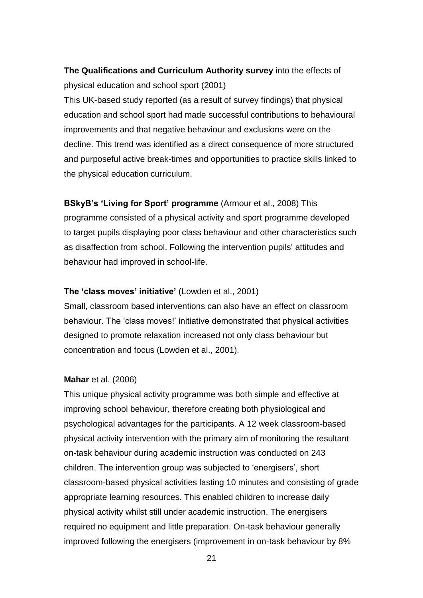# **The Qualifications and Curriculum Authority survey** into the effects of physical education and school sport (2001)

This UK-based study reported (as a result of survey findings) that physical education and school sport had made successful contributions to behavioural improvements and that negative behaviour and exclusions were on the decline. This trend was identified as a direct consequence of more structured and purposeful active break-times and opportunities to practice skills linked to the physical education curriculum.

# **BSkyB's 'Living for Sport' programme** (Armour et al., 2008) This programme consisted of a physical activity and sport programme developed to target pupils displaying poor class behaviour and other characteristics such as disaffection from school. Following the intervention pupils' attitudes and behaviour had improved in school-life.

### **The 'class moves' initiative'** (Lowden et al., 2001)

Small, classroom based interventions can also have an effect on classroom behaviour. The "class moves!" initiative demonstrated that physical activities designed to promote relaxation increased not only class behaviour but concentration and focus (Lowden et al., 2001).

### **Mahar** et al. (2006)

This unique physical activity programme was both simple and effective at improving school behaviour, therefore creating both physiological and psychological advantages for the participants. A 12 week classroom-based physical activity intervention with the primary aim of monitoring the resultant on-task behaviour during academic instruction was conducted on 243 children. The intervention group was subjected to "energisers", short classroom-based physical activities lasting 10 minutes and consisting of grade appropriate learning resources. This enabled children to increase daily physical activity whilst still under academic instruction. The energisers required no equipment and little preparation. On-task behaviour generally improved following the energisers (improvement in on-task behaviour by 8%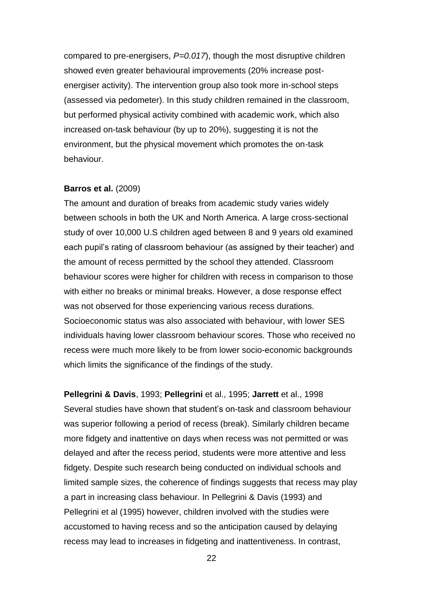compared to pre-energisers, *P=0.017*), though the most disruptive children showed even greater behavioural improvements (20% increase postenergiser activity). The intervention group also took more in-school steps (assessed via pedometer). In this study children remained in the classroom, but performed physical activity combined with academic work, which also increased on-task behaviour (by up to 20%), suggesting it is not the environment, but the physical movement which promotes the on-task behaviour.

#### **Barros et al.** (2009)

The amount and duration of breaks from academic study varies widely between schools in both the UK and North America. A large cross-sectional study of over 10,000 U.S children aged between 8 and 9 years old examined each pupil"s rating of classroom behaviour (as assigned by their teacher) and the amount of recess permitted by the school they attended. Classroom behaviour scores were higher for children with recess in comparison to those with either no breaks or minimal breaks. However, a dose response effect was not observed for those experiencing various recess durations. Socioeconomic status was also associated with behaviour, with lower SES individuals having lower classroom behaviour scores. Those who received no recess were much more likely to be from lower socio-economic backgrounds which limits the significance of the findings of the study.

**Pellegrini & Davis**, 1993; **Pellegrini** et al., 1995; **Jarrett** et al., 1998 Several studies have shown that student"s on-task and classroom behaviour was superior following a period of recess (break). Similarly children became more fidgety and inattentive on days when recess was not permitted or was delayed and after the recess period, students were more attentive and less fidgety. Despite such research being conducted on individual schools and limited sample sizes, the coherence of findings suggests that recess may play a part in increasing class behaviour. In Pellegrini & Davis (1993) and Pellegrini et al (1995) however, children involved with the studies were accustomed to having recess and so the anticipation caused by delaying recess may lead to increases in fidgeting and inattentiveness. In contrast,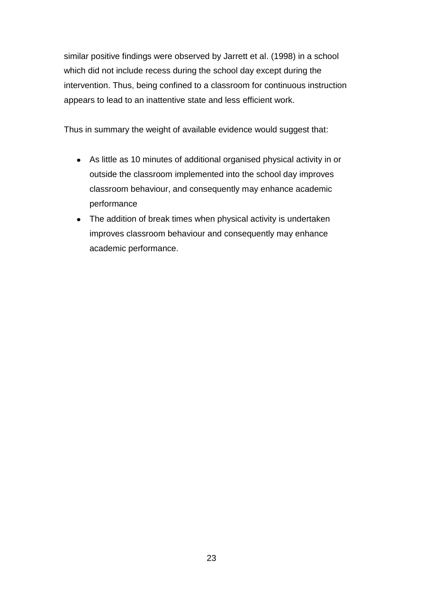similar positive findings were observed by Jarrett et al. (1998) in a school which did not include recess during the school day except during the intervention. Thus, being confined to a classroom for continuous instruction appears to lead to an inattentive state and less efficient work.

Thus in summary the weight of available evidence would suggest that:

- As little as 10 minutes of additional organised physical activity in or outside the classroom implemented into the school day improves classroom behaviour, and consequently may enhance academic performance
- The addition of break times when physical activity is undertaken improves classroom behaviour and consequently may enhance academic performance.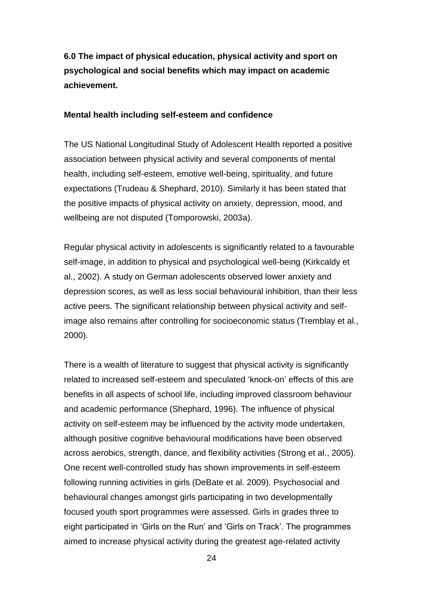**6.0 The impact of physical education, physical activity and sport on psychological and social benefits which may impact on academic achievement.**

#### **Mental health including self-esteem and confidence**

The US National Longitudinal Study of Adolescent Health reported a positive association between physical activity and several components of mental health, including self-esteem, emotive well-being, spirituality, and future expectations (Trudeau & Shephard, 2010). Similarly it has been stated that the positive impacts of physical activity on anxiety, depression, mood, and wellbeing are not disputed (Tomporowski, 2003a).

Regular physical activity in adolescents is significantly related to a favourable self-image, in addition to physical and psychological well-being (Kirkcaldy et al., 2002). A study on German adolescents observed lower anxiety and depression scores, as well as less social behavioural inhibition, than their less active peers. The significant relationship between physical activity and selfimage also remains after controlling for socioeconomic status (Tremblay et al., 2000).

There is a wealth of literature to suggest that physical activity is significantly related to increased self-esteem and speculated "knock-on" effects of this are benefits in all aspects of school life, including improved classroom behaviour and academic performance (Shephard, 1996). The influence of physical activity on self-esteem may be influenced by the activity mode undertaken, although positive cognitive behavioural modifications have been observed across aerobics, strength, dance, and flexibility activities (Strong et al., 2005). One recent well-controlled study has shown improvements in self-esteem following running activities in girls (DeBate et al. 2009). Psychosocial and behavioural changes amongst girls participating in two developmentally focused youth sport programmes were assessed. Girls in grades three to eight participated in "Girls on the Run" and "Girls on Track". The programmes aimed to increase physical activity during the greatest age-related activity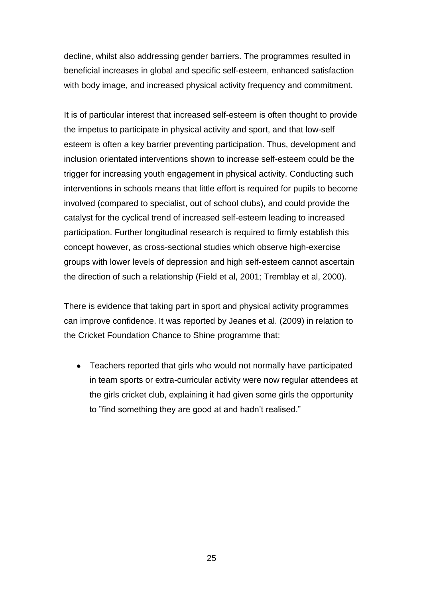decline, whilst also addressing gender barriers. The programmes resulted in beneficial increases in global and specific self-esteem, enhanced satisfaction with body image, and increased physical activity frequency and commitment.

It is of particular interest that increased self-esteem is often thought to provide the impetus to participate in physical activity and sport, and that low-self esteem is often a key barrier preventing participation. Thus, development and inclusion orientated interventions shown to increase self-esteem could be the trigger for increasing youth engagement in physical activity. Conducting such interventions in schools means that little effort is required for pupils to become involved (compared to specialist, out of school clubs), and could provide the catalyst for the cyclical trend of increased self-esteem leading to increased participation. Further longitudinal research is required to firmly establish this concept however, as cross-sectional studies which observe high-exercise groups with lower levels of depression and high self-esteem cannot ascertain the direction of such a relationship (Field et al, 2001; Tremblay et al, 2000).

There is evidence that taking part in sport and physical activity programmes can improve confidence. It was reported by Jeanes et al. (2009) in relation to the Cricket Foundation Chance to Shine programme that:

Teachers reported that girls who would not normally have participated in team sports or extra-curricular activity were now regular attendees at the girls cricket club, explaining it had given some girls the opportunity to "find something they are good at and hadn't realised."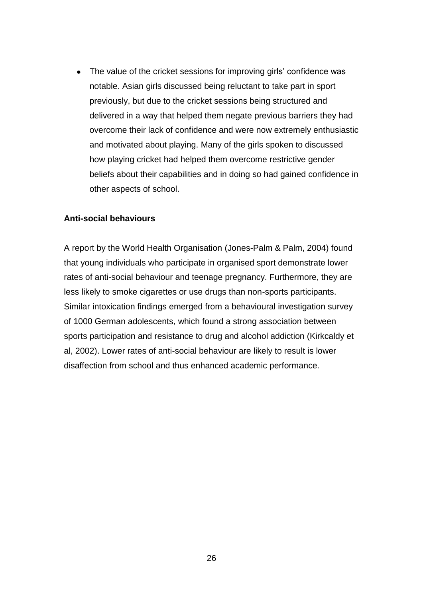• The value of the cricket sessions for improving girls' confidence was notable. Asian girls discussed being reluctant to take part in sport previously, but due to the cricket sessions being structured and delivered in a way that helped them negate previous barriers they had overcome their lack of confidence and were now extremely enthusiastic and motivated about playing. Many of the girls spoken to discussed how playing cricket had helped them overcome restrictive gender beliefs about their capabilities and in doing so had gained confidence in other aspects of school.

#### **Anti-social behaviours**

A report by the World Health Organisation (Jones-Palm & Palm, 2004) found that young individuals who participate in organised sport demonstrate lower rates of anti-social behaviour and teenage pregnancy. Furthermore, they are less likely to smoke cigarettes or use drugs than non-sports participants. Similar intoxication findings emerged from a behavioural investigation survey of 1000 German adolescents, which found a strong association between sports participation and resistance to drug and alcohol addiction (Kirkcaldy et al, 2002). Lower rates of anti-social behaviour are likely to result is lower disaffection from school and thus enhanced academic performance.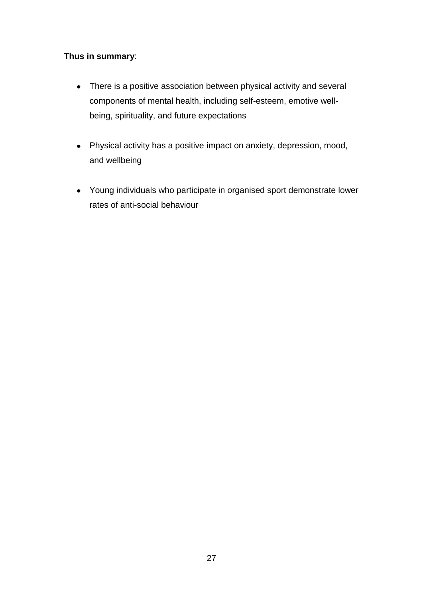# **Thus in summary**:

- There is a positive association between physical activity and several components of mental health, including self-esteem, emotive wellbeing, spirituality, and future expectations
- Physical activity has a positive impact on anxiety, depression, mood, and wellbeing
- Young individuals who participate in organised sport demonstrate lower rates of anti-social behaviour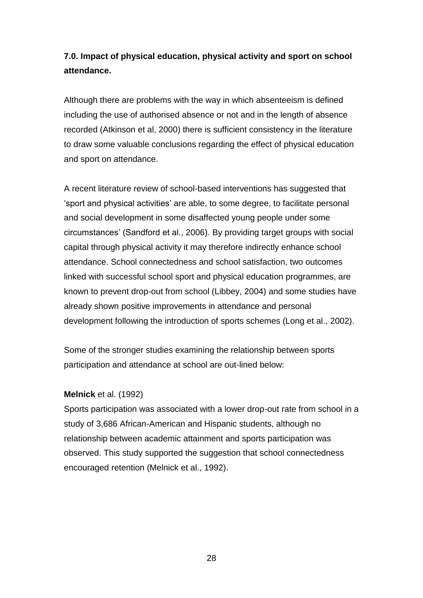# **7.0. Impact of physical education, physical activity and sport on school attendance.**

Although there are problems with the way in which absenteeism is defined including the use of authorised absence or not and in the length of absence recorded (Atkinson et al, 2000) there is sufficient consistency in the literature to draw some valuable conclusions regarding the effect of physical education and sport on attendance.

A recent literature review of school-based interventions has suggested that "sport and physical activities" are able, to some degree, to facilitate personal and social development in some disaffected young people under some circumstances" (Sandford et al., 2006). By providing target groups with social capital through physical activity it may therefore indirectly enhance school attendance. School connectedness and school satisfaction, two outcomes linked with successful school sport and physical education programmes, are known to prevent drop-out from school (Libbey, 2004) and some studies have already shown positive improvements in attendance and personal development following the introduction of sports schemes (Long et al., 2002).

Some of the stronger studies examining the relationship between sports participation and attendance at school are out-lined below:

#### **Melnick** et al. (1992)

Sports participation was associated with a lower drop-out rate from school in a study of 3,686 African-American and Hispanic students, although no relationship between academic attainment and sports participation was observed. This study supported the suggestion that school connectedness encouraged retention (Melnick et al., 1992).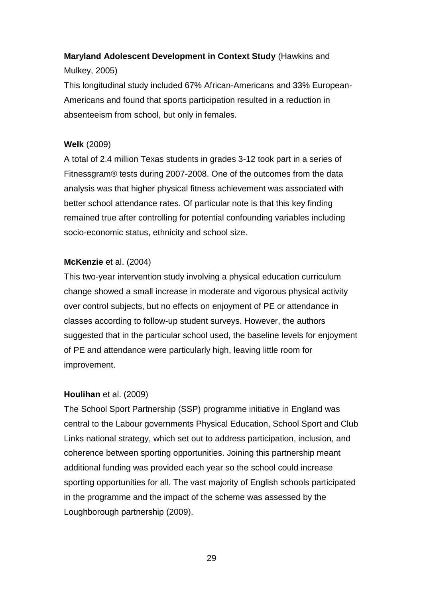# **Maryland Adolescent Development in Context Study** (Hawkins and

# Mulkey, 2005)

This longitudinal study included 67% African-Americans and 33% European-Americans and found that sports participation resulted in a reduction in absenteeism from school, but only in females.

# **Welk** (2009)

A total of 2.4 million Texas students in grades 3-12 took part in a series of Fitnessgram® tests during 2007-2008. One of the outcomes from the data analysis was that higher physical fitness achievement was associated with better school attendance rates. Of particular note is that this key finding remained true after controlling for potential confounding variables including socio-economic status, ethnicity and school size.

# **McKenzie** et al. (2004)

This two-year intervention study involving a physical education curriculum change showed a small increase in moderate and vigorous physical activity over control subjects, but no effects on enjoyment of PE or attendance in classes according to follow-up student surveys. However, the authors suggested that in the particular school used, the baseline levels for enjoyment of PE and attendance were particularly high, leaving little room for improvement.

# **Houlihan** et al. (2009)

The School Sport Partnership (SSP) programme initiative in England was central to the Labour governments Physical Education, School Sport and Club Links national strategy, which set out to address participation, inclusion, and coherence between sporting opportunities. Joining this partnership meant additional funding was provided each year so the school could increase sporting opportunities for all. The vast majority of English schools participated in the programme and the impact of the scheme was assessed by the Loughborough partnership (2009).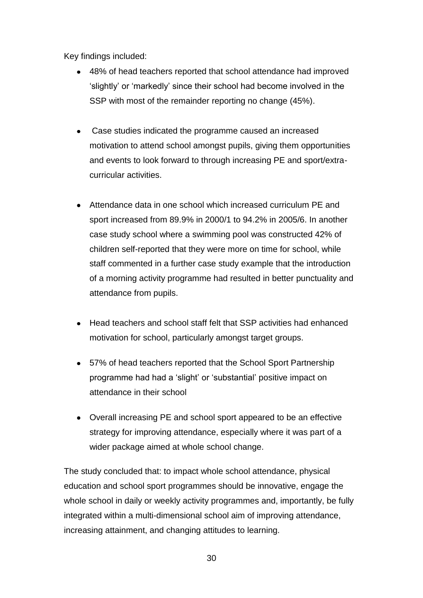Key findings included:

- 48% of head teachers reported that school attendance had improved "slightly" or "markedly" since their school had become involved in the SSP with most of the remainder reporting no change (45%).
- Case studies indicated the programme caused an increased motivation to attend school amongst pupils, giving them opportunities and events to look forward to through increasing PE and sport/extracurricular activities.
- Attendance data in one school which increased curriculum PE and sport increased from 89.9% in 2000/1 to 94.2% in 2005/6. In another case study school where a swimming pool was constructed 42% of children self-reported that they were more on time for school, while staff commented in a further case study example that the introduction of a morning activity programme had resulted in better punctuality and attendance from pupils.
- Head teachers and school staff felt that SSP activities had enhanced motivation for school, particularly amongst target groups.
- 57% of head teachers reported that the School Sport Partnership  $\bullet$ programme had had a "slight" or "substantial" positive impact on attendance in their school
- Overall increasing PE and school sport appeared to be an effective strategy for improving attendance, especially where it was part of a wider package aimed at whole school change.

The study concluded that: to impact whole school attendance, physical education and school sport programmes should be innovative, engage the whole school in daily or weekly activity programmes and, importantly, be fully integrated within a multi-dimensional school aim of improving attendance, increasing attainment, and changing attitudes to learning.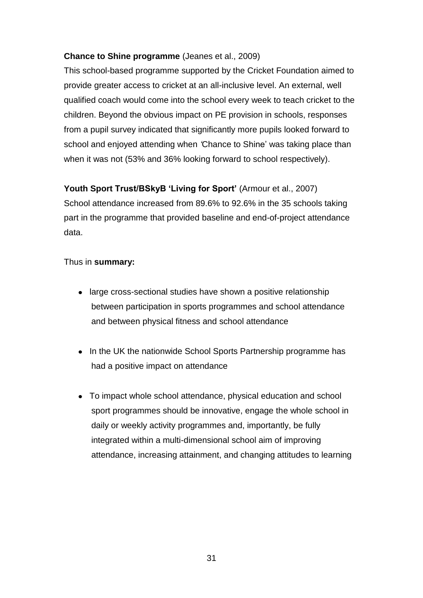# **Chance to Shine programme** (Jeanes et al., 2009)

This school-based programme supported by the Cricket Foundation aimed to provide greater access to cricket at an all-inclusive level. An external, well qualified coach would come into the school every week to teach cricket to the children. Beyond the obvious impact on PE provision in schools, responses from a pupil survey indicated that significantly more pupils looked forward to school and enjoyed attending when *'*Chance to Shine" was taking place than when it was not (53% and 36% looking forward to school respectively).

**Youth Sport Trust/BSkyB 'Living for Sport'** (Armour et al., 2007) School attendance increased from 89.6% to 92.6% in the 35 schools taking part in the programme that provided baseline and end-of-project attendance data.

# Thus in **summary:**

- large cross-sectional studies have shown a positive relationship between participation in sports programmes and school attendance and between physical fitness and school attendance
- In the UK the nationwide School Sports Partnership programme has had a positive impact on attendance
- To impact whole school attendance, physical education and school sport programmes should be innovative, engage the whole school in daily or weekly activity programmes and, importantly, be fully integrated within a multi-dimensional school aim of improving attendance, increasing attainment, and changing attitudes to learning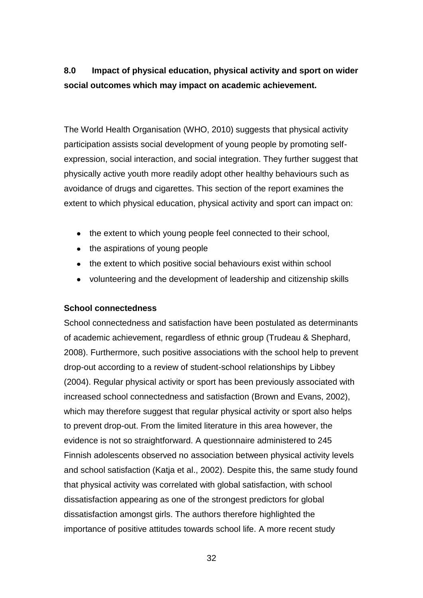# **8.0 Impact of physical education, physical activity and sport on wider social outcomes which may impact on academic achievement.**

The World Health Organisation (WHO, 2010) suggests that physical activity participation assists social development of young people by promoting selfexpression, social interaction, and social integration. They further suggest that physically active youth more readily adopt other healthy behaviours such as avoidance of drugs and cigarettes. This section of the report examines the extent to which physical education, physical activity and sport can impact on:

- the extent to which young people feel connected to their school,
- the aspirations of young people
- the extent to which positive social behaviours exist within school
- volunteering and the development of leadership and citizenship skills

### **School connectedness**

School connectedness and satisfaction have been postulated as determinants of academic achievement, regardless of ethnic group (Trudeau & Shephard, 2008). Furthermore, such positive associations with the school help to prevent drop-out according to a review of student-school relationships by Libbey (2004). Regular physical activity or sport has been previously associated with increased school connectedness and satisfaction (Brown and Evans, 2002), which may therefore suggest that regular physical activity or sport also helps to prevent drop-out. From the limited literature in this area however, the evidence is not so straightforward. A questionnaire administered to 245 Finnish adolescents observed no association between physical activity levels and school satisfaction (Katja et al., 2002). Despite this, the same study found that physical activity was correlated with global satisfaction, with school dissatisfaction appearing as one of the strongest predictors for global dissatisfaction amongst girls. The authors therefore highlighted the importance of positive attitudes towards school life. A more recent study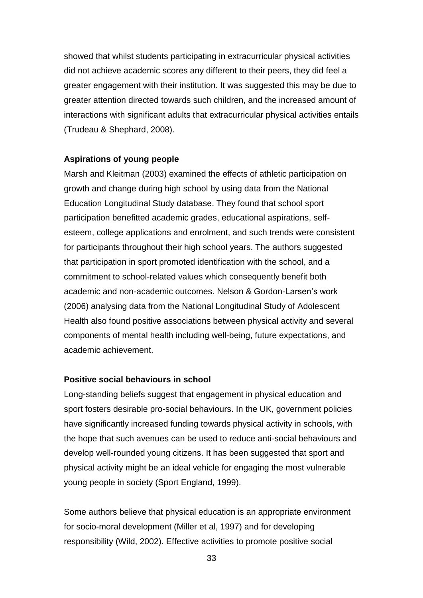showed that whilst students participating in extracurricular physical activities did not achieve academic scores any different to their peers, they did feel a greater engagement with their institution. It was suggested this may be due to greater attention directed towards such children, and the increased amount of interactions with significant adults that extracurricular physical activities entails (Trudeau & Shephard, 2008).

#### **Aspirations of young people**

Marsh and Kleitman (2003) examined the effects of athletic participation on growth and change during high school by using data from the National Education Longitudinal Study database. They found that school sport participation benefitted academic grades, educational aspirations, selfesteem, college applications and enrolment, and such trends were consistent for participants throughout their high school years. The authors suggested that participation in sport promoted identification with the school, and a commitment to school-related values which consequently benefit both academic and non-academic outcomes. Nelson & Gordon-Larsen"s work (2006) analysing data from the National Longitudinal Study of Adolescent Health also found positive associations between physical activity and several components of mental health including well-being, future expectations, and academic achievement.

#### **Positive social behaviours in school**

Long-standing beliefs suggest that engagement in physical education and sport fosters desirable pro-social behaviours. In the UK, government policies have significantly increased funding towards physical activity in schools, with the hope that such avenues can be used to reduce anti-social behaviours and develop well-rounded young citizens. It has been suggested that sport and physical activity might be an ideal vehicle for engaging the most vulnerable young people in society (Sport England, 1999).

Some authors believe that physical education is an appropriate environment for socio-moral development (Miller et al, 1997) and for developing responsibility (Wild, 2002). Effective activities to promote positive social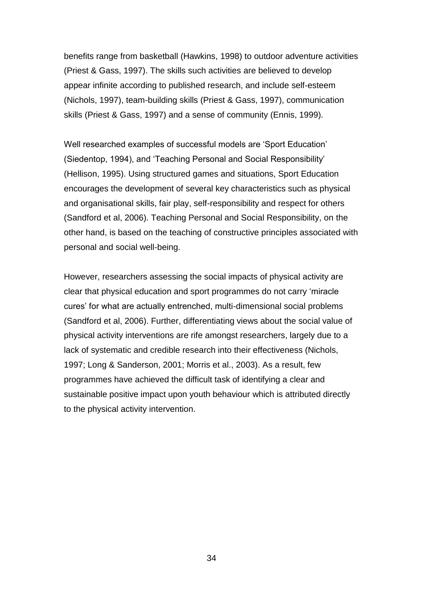benefits range from basketball (Hawkins, 1998) to outdoor adventure activities (Priest & Gass, 1997). The skills such activities are believed to develop appear infinite according to published research, and include self-esteem (Nichols, 1997), team-building skills (Priest & Gass, 1997), communication skills (Priest & Gass, 1997) and a sense of community (Ennis, 1999).

Well researched examples of successful models are "Sport Education" (Siedentop, 1994), and "Teaching Personal and Social Responsibility" (Hellison, 1995). Using structured games and situations, Sport Education encourages the development of several key characteristics such as physical and organisational skills, fair play, self-responsibility and respect for others (Sandford et al, 2006). Teaching Personal and Social Responsibility, on the other hand, is based on the teaching of constructive principles associated with personal and social well-being.

However, researchers assessing the social impacts of physical activity are clear that physical education and sport programmes do not carry "miracle cures" for what are actually entrenched, multi-dimensional social problems (Sandford et al, 2006). Further, differentiating views about the social value of physical activity interventions are rife amongst researchers, largely due to a lack of systematic and credible research into their effectiveness (Nichols, 1997; Long & Sanderson, 2001; Morris et al., 2003). As a result, few programmes have achieved the difficult task of identifying a clear and sustainable positive impact upon youth behaviour which is attributed directly to the physical activity intervention.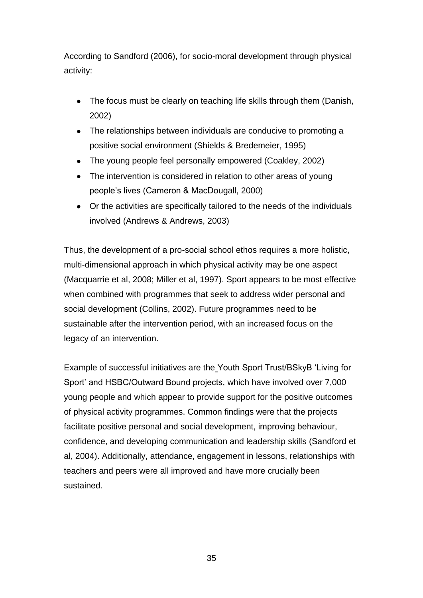According to Sandford (2006), for socio-moral development through physical activity:

- The focus must be clearly on teaching life skills through them (Danish, 2002)
- The relationships between individuals are conducive to promoting a positive social environment (Shields & Bredemeier, 1995)
- The young people feel personally empowered (Coakley, 2002)
- The intervention is considered in relation to other areas of young people"s lives (Cameron & MacDougall, 2000)
- Or the activities are specifically tailored to the needs of the individuals involved (Andrews & Andrews, 2003)

Thus, the development of a pro-social school ethos requires a more holistic, multi-dimensional approach in which physical activity may be one aspect (Macquarrie et al, 2008; Miller et al, 1997). Sport appears to be most effective when combined with programmes that seek to address wider personal and social development (Collins, 2002). Future programmes need to be sustainable after the intervention period, with an increased focus on the legacy of an intervention.

Example of successful initiatives are the Youth Sport Trust/BSkyB "Living for Sport" and HSBC/Outward Bound projects, which have involved over 7,000 young people and which appear to provide support for the positive outcomes of physical activity programmes. Common findings were that the projects facilitate positive personal and social development, improving behaviour, confidence, and developing communication and leadership skills (Sandford et al, 2004). Additionally, attendance, engagement in lessons, relationships with teachers and peers were all improved and have more crucially been sustained.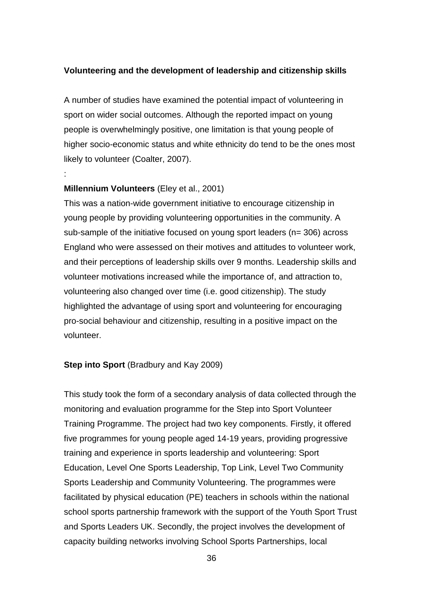### **Volunteering and the development of leadership and citizenship skills**

A number of studies have examined the potential impact of volunteering in sport on wider social outcomes. Although the reported impact on young people is overwhelmingly positive, one limitation is that young people of higher socio-economic status and white ethnicity do tend to be the ones most likely to volunteer (Coalter, 2007).

### **Millennium Volunteers** (Eley et al., 2001)

:

This was a nation-wide government initiative to encourage citizenship in young people by providing volunteering opportunities in the community. A sub-sample of the initiative focused on young sport leaders (n= 306) across England who were assessed on their motives and attitudes to volunteer work, and their perceptions of leadership skills over 9 months. Leadership skills and volunteer motivations increased while the importance of, and attraction to, volunteering also changed over time (i.e. good citizenship). The study highlighted the advantage of using sport and volunteering for encouraging pro-social behaviour and citizenship, resulting in a positive impact on the volunteer.

### **Step into Sport** (Bradbury and Kay 2009)

This study took the form of a secondary analysis of data collected through the monitoring and evaluation programme for the Step into Sport Volunteer Training Programme. The project had two key components. Firstly, it offered five programmes for young people aged 14-19 years, providing progressive training and experience in sports leadership and volunteering: Sport Education, Level One Sports Leadership, Top Link, Level Two Community Sports Leadership and Community Volunteering. The programmes were facilitated by physical education (PE) teachers in schools within the national school sports partnership framework with the support of the Youth Sport Trust and Sports Leaders UK. Secondly, the project involves the development of capacity building networks involving School Sports Partnerships, local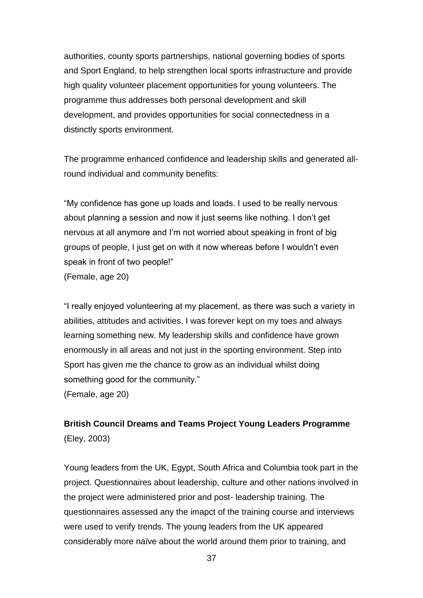authorities, county sports partnerships, national governing bodies of sports and Sport England, to help strengthen local sports infrastructure and provide high quality volunteer placement opportunities for young volunteers. The programme thus addresses both personal development and skill development, and provides opportunities for social connectedness in a distinctly sports environment.

The programme enhanced confidence and leadership skills and generated allround individual and community benefits:

"My confidence has gone up loads and loads. I used to be really nervous about planning a session and now it just seems like nothing. I don"t get nervous at all anymore and I"m not worried about speaking in front of big groups of people, I just get on with it now whereas before I wouldn"t even speak in front of two people!" (Female, age 20)

"I really enjoyed volunteering at my placement, as there was such a variety in abilities, attitudes and activities. I was forever kept on my toes and always learning something new. My leadership skills and confidence have grown enormously in all areas and not just in the sporting environment. Step into Sport has given me the chance to grow as an individual whilst doing something good for the community."

(Female, age 20)

# **British Council Dreams and Teams Project Young Leaders Programme**  (Eley, 2003)

Young leaders from the UK, Egypt, South Africa and Columbia took part in the project. Questionnaires about leadership, culture and other nations involved in the project were administered prior and post- leadership training. The questionnaires assessed any the imapct of the training course and interviews were used to verify trends. The young leaders from the UK appeared considerably more naïve about the world around them prior to training, and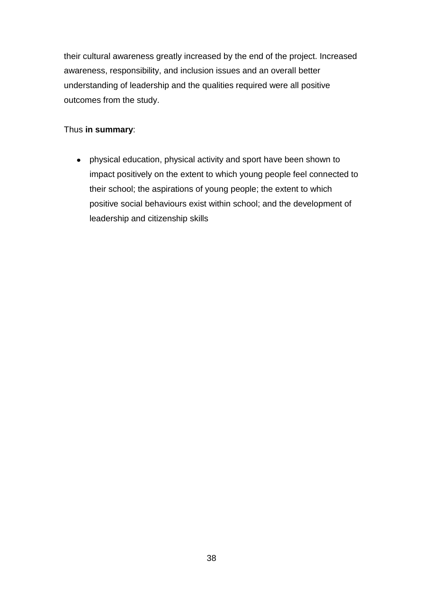their cultural awareness greatly increased by the end of the project. Increased awareness, responsibility, and inclusion issues and an overall better understanding of leadership and the qualities required were all positive outcomes from the study.

# Thus **in summary**:

physical education, physical activity and sport have been shown to impact positively on the extent to which young people feel connected to their school; the aspirations of young people; the extent to which positive social behaviours exist within school; and the development of leadership and citizenship skills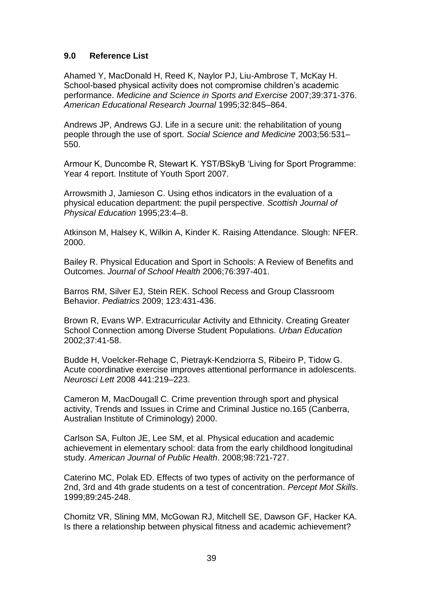# **9.0 Reference List**

Ahamed Y, MacDonald H, Reed K, Naylor PJ, Liu-Ambrose T, McKay H. School-based physical activity does not compromise children's academic performance. *Medicine and Science in Sports and Exercise* 2007;39:371-376. *American Educational Research Journal* 1995;32:845–864.

Andrews JP, Andrews GJ. Life in a secure unit: the rehabilitation of young people through the use of sport. *Social Science and Medicine* 2003;56:531– 550.

Armour K, Duncombe R, Stewart K. YST/BSkyB "Living for Sport Programme: Year 4 report. Institute of Youth Sport 2007.

Arrowsmith J, Jamieson C. Using ethos indicators in the evaluation of a physical education department: the pupil perspective. *Scottish Journal of Physical Education* 1995;23:4–8.

Atkinson M, Halsey K, Wilkin A, Kinder K. Raising Attendance. Slough: NFER. 2000.

Bailey R. Physical Education and Sport in Schools: A Review of Benefits and Outcomes. *Journal of School Health* 2006;76:397-401.

Barros RM, Silver EJ, Stein REK. School Recess and Group Classroom Behavior. *Pediatrics* 2009; 123:431-436.

Brown R, Evans WP. Extracurricular Activity and Ethnicity. Creating Greater School Connection among Diverse Student Populations. *Urban Education* 2002;37:41-58.

Budde H, Voelcker-Rehage C, Pietrayk-Kendziorra S, Ribeiro P, Tidow G. Acute coordinative exercise improves attentional performance in adolescents. *Neurosci Lett* 2008 441:219–223.

Cameron M, MacDougall C. Crime prevention through sport and physical activity, Trends and Issues in Crime and Criminal Justice no.165 (Canberra, Australian Institute of Criminology) 2000.

Carlson SA, Fulton JE, Lee SM, et al. Physical education and academic achievement in elementary school: data from the early childhood longitudinal study. *American Journal of Public Health*. 2008;98:721-727.

Caterino MC, Polak ED. Effects of two types of activity on the performance of 2nd, 3rd and 4th grade students on a test of concentration. *Percept Mot Skills*. 1999;89:245-248.

Chomitz VR, Slining MM, McGowan RJ, Mitchell SE, Dawson GF, Hacker KA. Is there a relationship between physical fitness and academic achievement?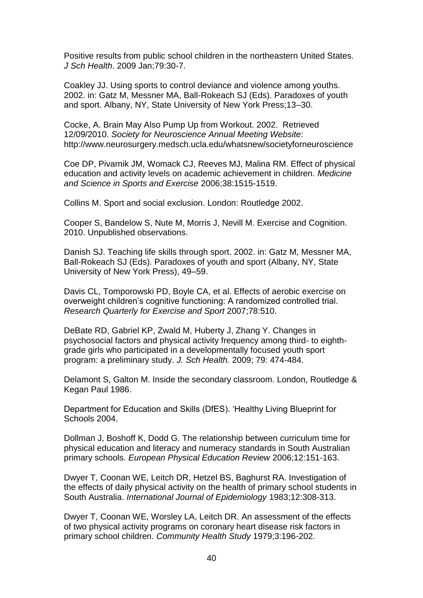Positive results from public school children in the northeastern United States. *J Sch Health*. 2009 Jan;79:30-7.

Coakley JJ. Using sports to control deviance and violence among youths. 2002. in: Gatz M, Messner MA, Ball-Rokeach SJ (Eds). Paradoxes of youth and sport. Albany, NY, State University of New York Press;13–30.

Cocke, A. Brain May Also Pump Up from Workout. 2002. Retrieved 12/09/2010. *Society for Neuroscience Annual Meeting Website*: http://www.neurosurgery.medsch.ucla.edu/whatsnew/societyforneuroscience

Coe DP, Pivarnik JM, Womack CJ, Reeves MJ, Malina RM. Effect of physical education and activity levels on academic achievement in children. *Medicine and Science in Sports and Exercise* 2006;38:1515-1519.

Collins M. Sport and social exclusion. London: Routledge 2002.

Cooper S, Bandelow S, Nute M, Morris J, Nevill M. Exercise and Cognition. 2010. Unpublished observations.

Danish SJ. Teaching life skills through sport. 2002. in: Gatz M, Messner MA, Ball-Rokeach SJ (Eds). Paradoxes of youth and sport (Albany, NY, State University of New York Press), 49–59.

Davis CL, Tomporowski PD, Boyle CA, et al. Effects of aerobic exercise on overweight children"s cognitive functioning: A randomized controlled trial. *Research Quarterly for Exercise and Sport* 2007;78:510.

DeBate RD, Gabriel KP, Zwald M, Huberty J, Zhang Y. Changes in psychosocial factors and physical activity frequency among third- to eighthgrade girls who participated in a developmentally focused youth sport program: a preliminary study. *J. Sch Health.* 2009; 79: 474-484.

Delamont S, Galton M. Inside the secondary classroom. London, Routledge & Kegan Paul 1986.

Department for Education and Skills (DfES). "Healthy Living Blueprint for Schools 2004.

Dollman J, Boshoff K, Dodd G. The relationship between curriculum time for physical education and literacy and numeracy standards in South Australian primary schools. *European Physical Education Review* 2006;12:151-163.

Dwyer T, Coonan WE, Leitch DR, Hetzel BS, Baghurst RA. Investigation of the effects of daily physical activity on the health of primary school students in South Australia. *International Journal of Epidemiology* 1983;12:308-313.

Dwyer T, Coonan WE, Worsley LA, Leitch DR. An assessment of the effects of two physical activity programs on coronary heart disease risk factors in primary school children. *Community Health Study* 1979;3:196-202.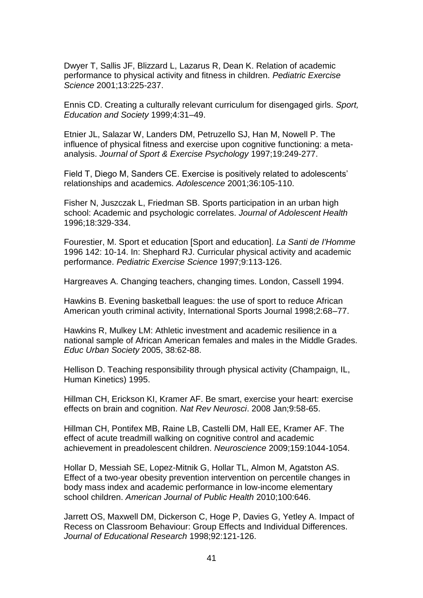Dwyer T, Sallis JF, Blizzard L, Lazarus R, Dean K. Relation of academic performance to physical activity and fitness in children. *Pediatric Exercise Science* 2001;13:225-237.

Ennis CD. Creating a culturally relevant curriculum for disengaged girls. *Sport, Education and Society* 1999;4:31–49.

Etnier JL, Salazar W, Landers DM, Petruzello SJ, Han M, Nowell P. The influence of physical fitness and exercise upon cognitive functioning: a metaanalysis. *Journal of Sport & Exercise Psychology* 1997;19:249-277.

Field T, Diego M, Sanders CE. Exercise is positively related to adolescents" relationships and academics. *Adolescence* 2001;36:105-110.

Fisher N, Juszczak L, Friedman SB. Sports participation in an urban high school: Academic and psychologic correlates. *Journal of Adolescent Health*  1996;18:329-334.

Fourestier, M. Sport et education [Sport and education]. *La Santi de I'Homme* 1996 142: 10-14. In: Shephard RJ. Curricular physical activity and academic performance. *Pediatric Exercise Science* 1997;9:113-126.

Hargreaves A. Changing teachers, changing times. London, Cassell 1994.

Hawkins B. Evening basketball leagues: the use of sport to reduce African American youth criminal activity, International Sports Journal 1998;2:68–77.

Hawkins R, Mulkey LM: Athletic investment and academic resilience in a national sample of African American females and males in the Middle Grades. *Educ Urban Society* 2005, 38:62-88.

Hellison D. Teaching responsibility through physical activity (Champaign, IL, Human Kinetics) 1995.

Hillman CH, Erickson KI, Kramer AF. Be smart, exercise your heart: exercise effects on brain and cognition. *Nat Rev Neurosci*. 2008 Jan;9:58-65.

Hillman CH, Pontifex MB, Raine LB, Castelli DM, Hall EE, Kramer AF. The effect of acute treadmill walking on cognitive control and academic achievement in preadolescent children. *Neuroscience* 2009;159:1044-1054.

Hollar D, Messiah SE, Lopez-Mitnik G, Hollar TL, Almon M, Agatston AS. Effect of a two-year obesity prevention intervention on percentile changes in body mass index and academic performance in low-income elementary school children. *American Journal of Public Health* 2010;100:646.

Jarrett OS, Maxwell DM, Dickerson C, Hoge P, Davies G, Yetley A. Impact of Recess on Classroom Behaviour: Group Effects and Individual Differences. *Journal of Educational Research* 1998;92:121-126.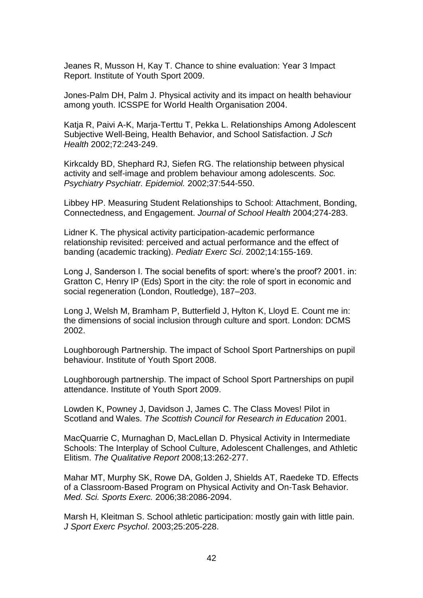Jeanes R, Musson H, Kay T. Chance to shine evaluation: Year 3 Impact Report. Institute of Youth Sport 2009.

Jones-Palm DH, Palm J. Physical activity and its impact on health behaviour among youth. ICSSPE for World Health Organisation 2004.

Katja R, Paivi A-K, Marja-Terttu T, Pekka L. Relationships Among Adolescent Subjective Well-Being, Health Behavior, and School Satisfaction. *J Sch Health* 2002;72:243-249.

Kirkcaldy BD, Shephard RJ, Siefen RG. The relationship between physical activity and self-image and problem behaviour among adolescents. *Soc. Psychiatry Psychiatr. Epidemiol.* 2002;37:544-550.

Libbey HP. Measuring Student Relationships to School: Attachment, Bonding, Connectedness, and Engagement. *Journal of School Health* 2004;274-283.

Lidner K. The physical activity participation-academic performance relationship revisited: perceived and actual performance and the effect of banding (academic tracking). *Pediatr Exerc Sci*. 2002;14:155-169.

Long J, Sanderson I. The social benefits of sport: where's the proof? 2001. in: Gratton C, Henry IP (Eds) Sport in the city: the role of sport in economic and social regeneration (London, Routledge), 187–203.

Long J, Welsh M, Bramham P, Butterfield J, Hylton K, Lloyd E. Count me in: the dimensions of social inclusion through culture and sport. London: DCMS 2002.

Loughborough Partnership. The impact of School Sport Partnerships on pupil behaviour. Institute of Youth Sport 2008.

Loughborough partnership. The impact of School Sport Partnerships on pupil attendance. Institute of Youth Sport 2009.

Lowden K, Powney J, Davidson J, James C. The Class Moves! Pilot in Scotland and Wales. *The Scottish Council for Research in Education* 2001.

MacQuarrie C, Murnaghan D, MacLellan D. Physical Activity in Intermediate Schools: The Interplay of School Culture, Adolescent Challenges, and Athletic Elitism. *The Qualitative Report* 2008;13:262-277.

Mahar MT, Murphy SK, Rowe DA, Golden J, Shields AT, Raedeke TD. Effects of a Classroom-Based Program on Physical Activity and On-Task Behavior. *Med. Sci. Sports Exerc.* 2006;38:2086-2094.

Marsh H, Kleitman S. School athletic participation: mostly gain with little pain. *J Sport Exerc Psychol*. 2003;25:205-228.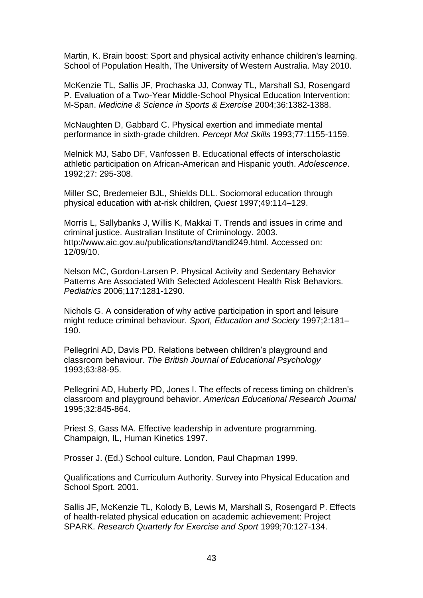Martin, K. Brain boost: Sport and physical activity enhance children's learning. School of Population Health, The University of Western Australia. May 2010.

McKenzie TL, Sallis JF, Prochaska JJ, Conway TL, Marshall SJ, Rosengard P. Evaluation of a Two-Year Middle-School Physical Education Intervention: M-Span. *Medicine & Science in Sports & Exercise* 2004;36:1382-1388.

McNaughten D, Gabbard C. Physical exertion and immediate mental performance in sixth-grade children. *Percept Mot Skills* 1993;77:1155-1159.

Melnick MJ, Sabo DF, Vanfossen B. Educational effects of interscholastic athletic participation on African-American and Hispanic youth. *Adolescence*. 1992;27: 295-308.

Miller SC, Bredemeier BJL, Shields DLL. Sociomoral education through physical education with at-risk children, *Quest* 1997;49:114–129.

Morris L, Sallybanks J, Willis K, Makkai T. Trends and issues in crime and criminal justice. Australian Institute of Criminology. 2003. http://www.aic.gov.au/publications/tandi/tandi249.html. Accessed on: 12/09/10.

Nelson MC, Gordon-Larsen P. Physical Activity and Sedentary Behavior Patterns Are Associated With Selected Adolescent Health Risk Behaviors. *Pediatrics* 2006;117:1281-1290.

Nichols G. A consideration of why active participation in sport and leisure might reduce criminal behaviour. *Sport, Education and Society* 1997;2:181– 190.

Pellegrini AD, Davis PD. Relations between children"s playground and classroom behaviour. *The British Journal of Educational Psychology*  1993;63:88-95.

Pellegrini AD, Huberty PD, Jones I. The effects of recess timing on children"s classroom and playground behavior. *American Educational Research Journal*  1995;32:845-864.

Priest S, Gass MA. Effective leadership in adventure programming. Champaign, IL, Human Kinetics 1997.

Prosser J. (Ed.) School culture. London, Paul Chapman 1999.

Qualifications and Curriculum Authority. Survey into Physical Education and School Sport. 2001.

Sallis JF, McKenzie TL, Kolody B, Lewis M, Marshall S, Rosengard P. Effects of health-related physical education on academic achievement: Project SPARK. *Research Quarterly for Exercise and Sport* 1999;70:127-134.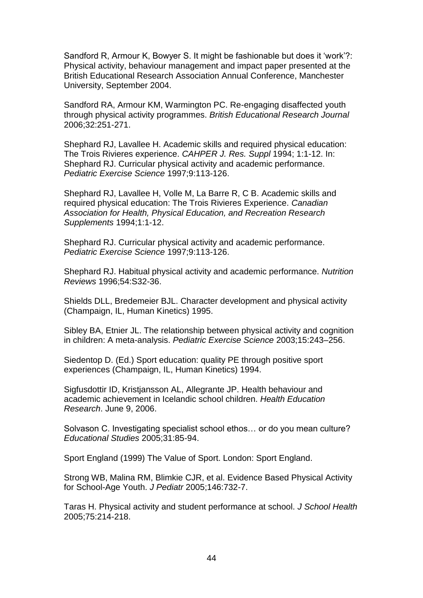Sandford R, Armour K, Bowyer S. It might be fashionable but does it "work"?: Physical activity, behaviour management and impact paper presented at the British Educational Research Association Annual Conference, Manchester University, September 2004.

Sandford RA, Armour KM, Warmington PC. Re-engaging disaffected youth through physical activity programmes. *British Educational Research Journal* 2006;32:251-271.

Shephard RJ, Lavallee H. Academic skills and required physical education: The Trois Rivieres experience. *CAHPER J. Res. Suppl* 1994; 1:1-12. In: Shephard RJ. Curricular physical activity and academic performance. *Pediatric Exercise Science* 1997;9:113-126.

Shephard RJ, Lavallee H, Volle M, La Barre R, C B. Academic skills and required physical education: The Trois Rivieres Experience. *Canadian Association for Health, Physical Education, and Recreation Research Supplements* 1994;1:1-12.

Shephard RJ. Curricular physical activity and academic performance. *Pediatric Exercise Science* 1997;9:113-126.

Shephard RJ. Habitual physical activity and academic performance. *Nutrition Reviews* 1996;54:S32-36.

Shields DLL, Bredemeier BJL. Character development and physical activity (Champaign, IL, Human Kinetics) 1995.

Sibley BA, Etnier JL. The relationship between physical activity and cognition in children: A meta-analysis. *Pediatric Exercise Science* 2003;15:243–256.

Siedentop D. (Ed.) Sport education: quality PE through positive sport experiences (Champaign, IL, Human Kinetics) 1994.

Sigfusdottir ID, Kristjansson AL, Allegrante JP. Health behaviour and academic achievement in Icelandic school children. *Health Education Research*. June 9, 2006.

Solvason C. Investigating specialist school ethos… or do you mean culture? *Educational Studies* 2005;31:85-94.

Sport England (1999) The Value of Sport. London: Sport England.

Strong WB, Malina RM, Blimkie CJR, et al. Evidence Based Physical Activity for School-Age Youth. *J Pediatr* 2005;146:732-7.

Taras H. Physical activity and student performance at school. *J School Health*  2005;75:214-218.